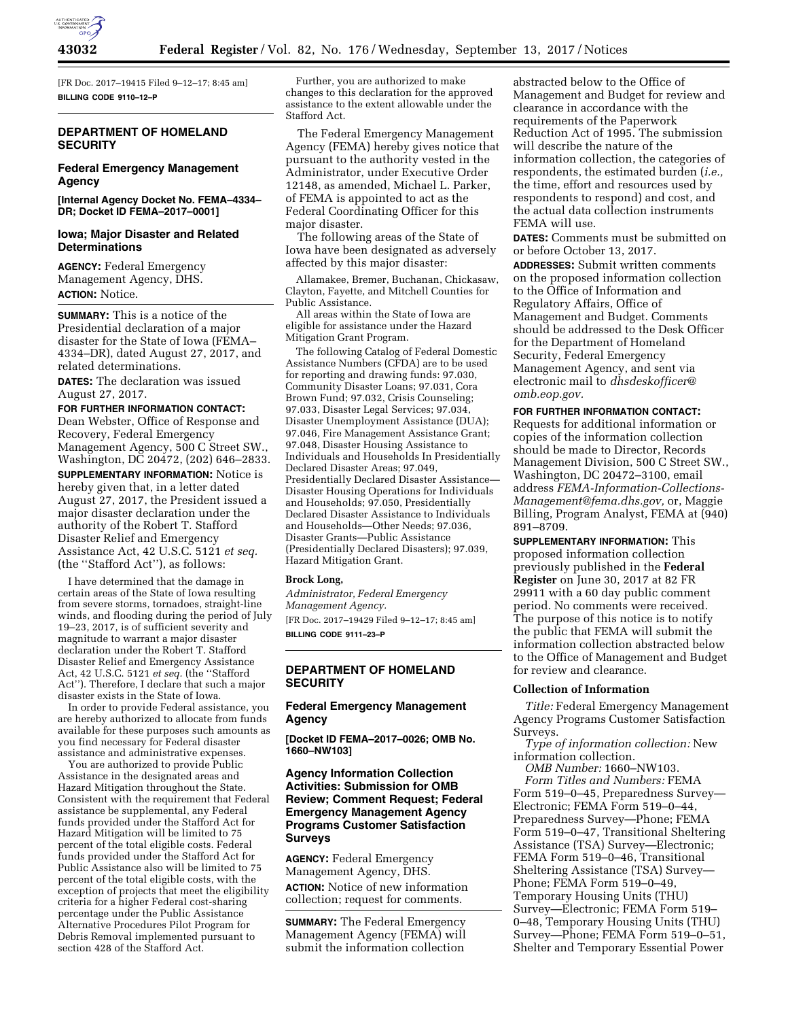

[FR Doc. 2017–19415 Filed 9–12–17; 8:45 am] **BILLING CODE 9110–12–P** 

# **DEPARTMENT OF HOMELAND SECURITY**

# **Federal Emergency Management Agency**

**[Internal Agency Docket No. FEMA–4334– DR; Docket ID FEMA–2017–0001]** 

# **Iowa; Major Disaster and Related Determinations**

**AGENCY:** Federal Emergency Management Agency, DHS. **ACTION:** Notice.

**SUMMARY:** This is a notice of the Presidential declaration of a major disaster for the State of Iowa (FEMA– 4334–DR), dated August 27, 2017, and related determinations.

**DATES:** The declaration was issued August 27, 2017.

#### **FOR FURTHER INFORMATION CONTACT:**  Dean Webster, Office of Response and

Recovery, Federal Emergency Management Agency, 500 C Street SW., Washington, DC 20472, (202) 646–2833. **SUPPLEMENTARY INFORMATION:** Notice is hereby given that, in a letter dated August 27, 2017, the President issued a major disaster declaration under the authority of the Robert T. Stafford Disaster Relief and Emergency Assistance Act, 42 U.S.C. 5121 *et seq.*  (the ''Stafford Act''), as follows:

I have determined that the damage in certain areas of the State of Iowa resulting from severe storms, tornadoes, straight-line winds, and flooding during the period of July 19–23, 2017, is of sufficient severity and magnitude to warrant a major disaster declaration under the Robert T. Stafford Disaster Relief and Emergency Assistance Act, 42 U.S.C. 5121 *et seq.* (the ''Stafford Act''). Therefore, I declare that such a major disaster exists in the State of Iowa.

In order to provide Federal assistance, you are hereby authorized to allocate from funds available for these purposes such amounts as you find necessary for Federal disaster assistance and administrative expenses.

You are authorized to provide Public Assistance in the designated areas and Hazard Mitigation throughout the State. Consistent with the requirement that Federal assistance be supplemental, any Federal funds provided under the Stafford Act for Hazard Mitigation will be limited to 75 percent of the total eligible costs. Federal funds provided under the Stafford Act for Public Assistance also will be limited to 75 percent of the total eligible costs, with the exception of projects that meet the eligibility criteria for a higher Federal cost-sharing percentage under the Public Assistance Alternative Procedures Pilot Program for Debris Removal implemented pursuant to section 428 of the Stafford Act.

Further, you are authorized to make changes to this declaration for the approved assistance to the extent allowable under the Stafford Act.

The Federal Emergency Management Agency (FEMA) hereby gives notice that pursuant to the authority vested in the Administrator, under Executive Order 12148, as amended, Michael L. Parker, of FEMA is appointed to act as the Federal Coordinating Officer for this major disaster.

The following areas of the State of Iowa have been designated as adversely affected by this major disaster:

Allamakee, Bremer, Buchanan, Chickasaw, Clayton, Fayette, and Mitchell Counties for Public Assistance.

All areas within the State of Iowa are eligible for assistance under the Hazard Mitigation Grant Program.

The following Catalog of Federal Domestic Assistance Numbers (CFDA) are to be used for reporting and drawing funds: 97.030, Community Disaster Loans; 97.031, Cora Brown Fund; 97.032, Crisis Counseling; 97.033, Disaster Legal Services; 97.034, Disaster Unemployment Assistance (DUA); 97.046, Fire Management Assistance Grant; 97.048, Disaster Housing Assistance to Individuals and Households In Presidentially Declared Disaster Areas; 97.049, Presidentially Declared Disaster Assistance— Disaster Housing Operations for Individuals and Households; 97.050, Presidentially Declared Disaster Assistance to Individuals and Households—Other Needs; 97.036, Disaster Grants—Public Assistance (Presidentially Declared Disasters); 97.039, Hazard Mitigation Grant.

#### **Brock Long,**

*Administrator, Federal Emergency Management Agency.*  [FR Doc. 2017–19429 Filed 9–12–17; 8:45 am]

**BILLING CODE 9111–23–P** 

## **DEPARTMENT OF HOMELAND SECURITY**

# **Federal Emergency Management Agency**

**[Docket ID FEMA–2017–0026; OMB No. 1660–NW103]** 

# **Agency Information Collection Activities: Submission for OMB Review; Comment Request; Federal Emergency Management Agency Programs Customer Satisfaction Surveys**

**AGENCY:** Federal Emergency Management Agency, DHS. **ACTION:** Notice of new information collection; request for comments.

**SUMMARY:** The Federal Emergency Management Agency (FEMA) will submit the information collection

abstracted below to the Office of Management and Budget for review and clearance in accordance with the requirements of the Paperwork Reduction Act of 1995. The submission will describe the nature of the information collection, the categories of respondents, the estimated burden (*i.e.,*  the time, effort and resources used by respondents to respond) and cost, and the actual data collection instruments FEMA will use.

**DATES:** Comments must be submitted on or before October 13, 2017.

**ADDRESSES:** Submit written comments on the proposed information collection to the Office of Information and Regulatory Affairs, Office of Management and Budget. Comments should be addressed to the Desk Officer for the Department of Homeland Security, Federal Emergency Management Agency, and sent via electronic mail to *[dhsdeskofficer@](mailto:dhsdeskofficer@omb.eop.gov) [omb.eop.gov.](mailto:dhsdeskofficer@omb.eop.gov)* 

## **FOR FURTHER INFORMATION CONTACT:**

Requests for additional information or copies of the information collection should be made to Director, Records Management Division, 500 C Street SW., Washington, DC 20472–3100, email address *[FEMA-Information-Collections-](mailto:FEMA-Information-Collections-Management@fema.dhs.gov)[Management@fema.dhs.gov,](mailto:FEMA-Information-Collections-Management@fema.dhs.gov)* or, Maggie Billing, Program Analyst, FEMA at (940) 891–8709.

**SUPPLEMENTARY INFORMATION:** This proposed information collection previously published in the **Federal Register** on June 30, 2017 at 82 FR 29911 with a 60 day public comment period. No comments were received. The purpose of this notice is to notify the public that FEMA will submit the information collection abstracted below to the Office of Management and Budget for review and clearance.

#### **Collection of Information**

*Title:* Federal Emergency Management Agency Programs Customer Satisfaction Surveys.

*Type of information collection:* New information collection.

*OMB Number:* 1660–NW103. *Form Titles and Numbers:* FEMA Form 519–0–45, Preparedness Survey— Electronic; FEMA Form 519–0–44, Preparedness Survey—Phone; FEMA Form 519–0–47, Transitional Sheltering Assistance (TSA) Survey—Electronic; FEMA Form 519–0–46, Transitional Sheltering Assistance (TSA) Survey— Phone; FEMA Form 519–0–49, Temporary Housing Units (THU) Survey—Electronic; FEMA Form 519– 0–48, Temporary Housing Units (THU) Survey—Phone; FEMA Form 519–0–51, Shelter and Temporary Essential Power